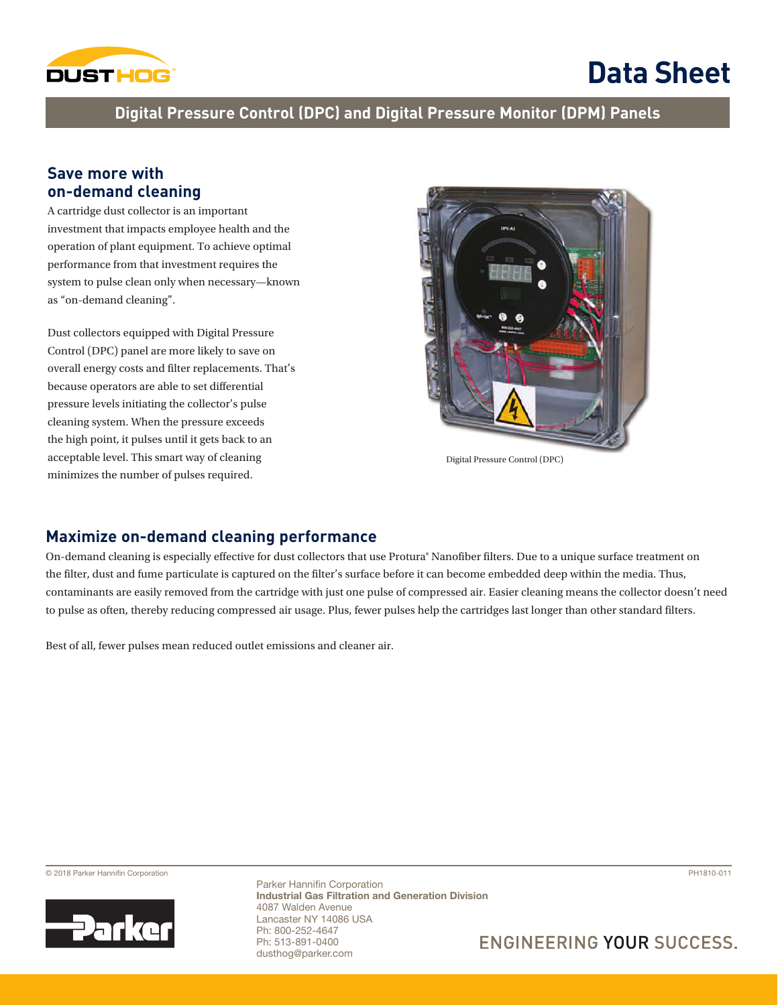

# **Data Sheet**

### **Digital Pressure Control (DPC) and Digital Pressure Monitor (DPM) Panels**

#### **Save more with on-demand cleaning**

A cartridge dust collector is an important investment that impacts employee health and the operation of plant equipment. To achieve optimal performance from that investment requires the system to pulse clean only when necessary—known as "on-demand cleaning".

Dust collectors equipped with Digital Pressure Control (DPC) panel are more likely to save on overall energy costs and filter replacements. That's because operators are able to set differential pressure levels initiating the collector's pulse cleaning system. When the pressure exceeds the high point, it pulses until it gets back to an acceptable level. This smart way of cleaning minimizes the number of pulses required.



Digital Pressure Control (DPC)

### **Maximize on-demand cleaning performance**

On-demand cleaning is especially effective for dust collectors that use Protura® Nanofiber filters. Due to a unique surface treatment on the filter, dust and fume particulate is captured on the filter's surface before it can become embedded deep within the media. Thus, contaminants are easily removed from the cartridge with just one pulse of compressed air. Easier cleaning means the collector doesn't need to pulse as often, thereby reducing compressed air usage. Plus, fewer pulses help the cartridges last longer than other standard filters.

Best of all, fewer pulses mean reduced outlet emissions and cleaner air.

© 2018 Parker Hannifin Corporation PH1810-011



Parker Hannifin Corporation Industrial Gas Filtration and Generation Division 4087 Walden Avenue Lancaster NY 14086 USA Ph: 800-252-4647 Ph: 513-891-0400 dusthog@parker.com

## **ENGINEERING YOUR SUCCESS.**